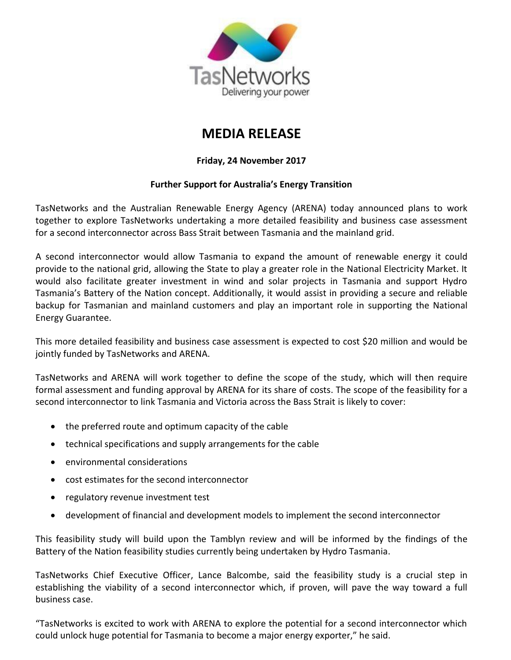

## **MEDIA RELEASE**

## **Friday, 24 November 2017**

## **Further Support for Australia's Energy Transition**

TasNetworks and the Australian Renewable Energy Agency (ARENA) today announced plans to work together to explore TasNetworks undertaking a more detailed feasibility and business case assessment for a second interconnector across Bass Strait between Tasmania and the mainland grid.

A second interconnector would allow Tasmania to expand the amount of renewable energy it could provide to the national grid, allowing the State to play a greater role in the National Electricity Market. It would also facilitate greater investment in wind and solar projects in Tasmania and support Hydro Tasmania's Battery of the Nation concept. Additionally, it would assist in providing a secure and reliable backup for Tasmanian and mainland customers and play an important role in supporting the National Energy Guarantee.

This more detailed feasibility and business case assessment is expected to cost \$20 million and would be jointly funded by TasNetworks and ARENA.

TasNetworks and ARENA will work together to define the scope of the study, which will then require formal assessment and funding approval by ARENA for its share of costs. The scope of the feasibility for a second interconnector to link Tasmania and Victoria across the Bass Strait is likely to cover:

- the preferred route and optimum capacity of the cable
- technical specifications and supply arrangements for the cable
- environmental considerations
- cost estimates for the second interconnector
- regulatory revenue investment test
- development of financial and development models to implement the second interconnector

This feasibility study will build upon the Tamblyn review and will be informed by the findings of the Battery of the Nation feasibility studies currently being undertaken by Hydro Tasmania.

TasNetworks Chief Executive Officer, Lance Balcombe, said the feasibility study is a crucial step in establishing the viability of a second interconnector which, if proven, will pave the way toward a full business case.

"TasNetworks is excited to work with ARENA to explore the potential for a second interconnector which could unlock huge potential for Tasmania to become a major energy exporter," he said.